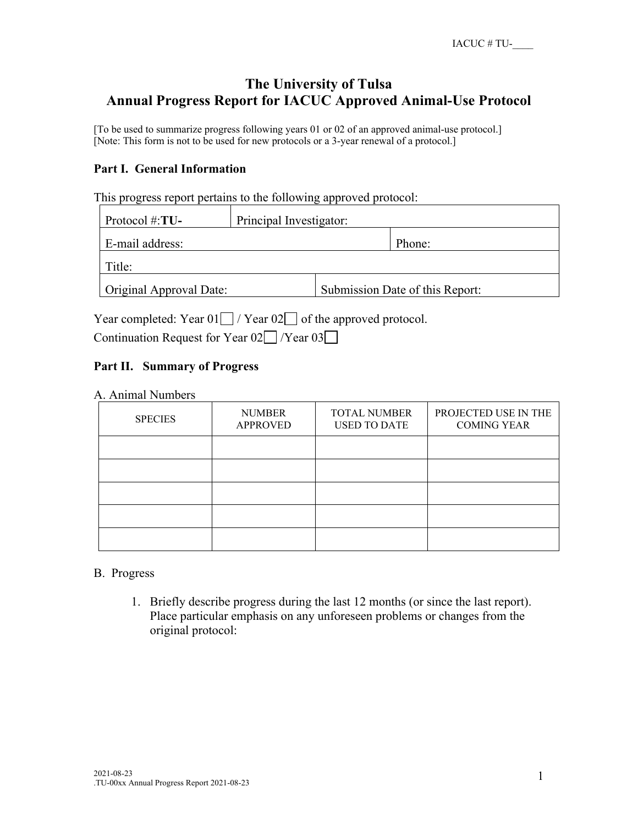# **The University of Tulsa Annual Progress Report for IACUC Approved Animal-Use Protocol**

[To be used to summarize progress following years 01 or 02 of an approved animal-use protocol.] [Note: This form is not to be used for new protocols or a 3-year renewal of a protocol.]

## **Part I. General Information**

This progress report pertains to the following approved protocol:

| Protocol #: $TU-$       | Principal Investigator:         |  |  |  |
|-------------------------|---------------------------------|--|--|--|
| E-mail address:         | Phone:                          |  |  |  |
| Title:                  |                                 |  |  |  |
| Original Approval Date: | Submission Date of this Report: |  |  |  |

Year completed: Year  $01 \cap /$  Year  $02 \cap$  of the approved protocol.

Continuation Request for Year 02 / Year 03

## **Part II. Summary of Progress**

A. Animal Numbers

| <b>SPECIES</b> | <b>NUMBER</b><br><b>APPROVED</b> | <b>TOTAL NUMBER</b><br><b>USED TO DATE</b> | PROJECTED USE IN THE<br><b>COMING YEAR</b> |
|----------------|----------------------------------|--------------------------------------------|--------------------------------------------|
|                |                                  |                                            |                                            |
|                |                                  |                                            |                                            |
|                |                                  |                                            |                                            |
|                |                                  |                                            |                                            |
|                |                                  |                                            |                                            |

### B. Progress

1. Briefly describe progress during the last 12 months (or since the last report). Place particular emphasis on any unforeseen problems or changes from the original protocol: